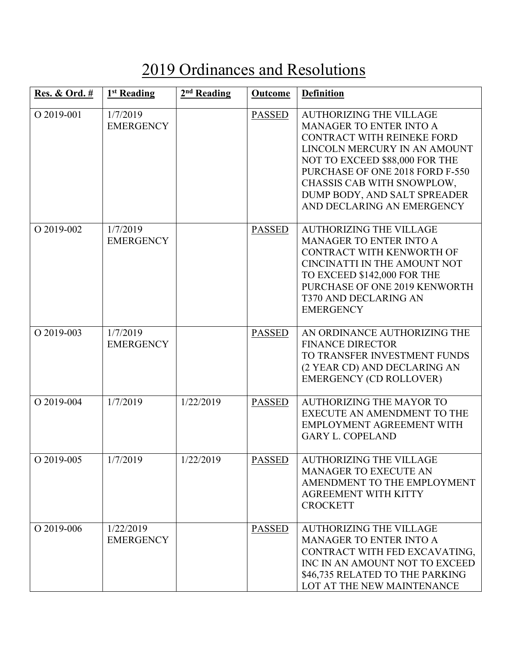## 2019 Ordinances and Resolutions

| <b>Res. &amp; Ord.</b> # | 1 <sup>st</sup> Reading       | 2 <sup>nd</sup> Reading | Outcome       | <b>Definition</b>                                                                                                                                                                                                                                                                               |
|--------------------------|-------------------------------|-------------------------|---------------|-------------------------------------------------------------------------------------------------------------------------------------------------------------------------------------------------------------------------------------------------------------------------------------------------|
| O 2019-001               | 1/7/2019<br><b>EMERGENCY</b>  |                         | <b>PASSED</b> | <b>AUTHORIZING THE VILLAGE</b><br><b>MANAGER TO ENTER INTO A</b><br>CONTRACT WITH REINEKE FORD<br>LINCOLN MERCURY IN AN AMOUNT<br>NOT TO EXCEED \$88,000 FOR THE<br>PURCHASE OF ONE 2018 FORD F-550<br>CHASSIS CAB WITH SNOWPLOW,<br>DUMP BODY, AND SALT SPREADER<br>AND DECLARING AN EMERGENCY |
| O 2019-002               | 1/7/2019<br><b>EMERGENCY</b>  |                         | <b>PASSED</b> | <b>AUTHORIZING THE VILLAGE</b><br><b>MANAGER TO ENTER INTO A</b><br>CONTRACT WITH KENWORTH OF<br><b>CINCINATTI IN THE AMOUNT NOT</b><br>TO EXCEED \$142,000 FOR THE<br>PURCHASE OF ONE 2019 KENWORTH<br><b>T370 AND DECLARING AN</b><br><b>EMERGENCY</b>                                        |
| O 2019-003               | 1/7/2019<br><b>EMERGENCY</b>  |                         | <b>PASSED</b> | AN ORDINANCE AUTHORIZING THE<br><b>FINANCE DIRECTOR</b><br>TO TRANSFER INVESTMENT FUNDS<br>(2 YEAR CD) AND DECLARING AN<br><b>EMERGENCY (CD ROLLOVER)</b>                                                                                                                                       |
| O 2019-004               | 1/7/2019                      | 1/22/2019               | <b>PASSED</b> | <b>AUTHORIZING THE MAYOR TO</b><br><b>EXECUTE AN AMENDMENT TO THE</b><br>EMPLOYMENT AGREEMENT WITH<br><b>GARY L. COPELAND</b>                                                                                                                                                                   |
| O 2019-005               | 1/7/2019                      | 1/22/2019               | <b>PASSED</b> | <b>AUTHORIZING THE VILLAGE</b><br><b>MANAGER TO EXECUTE AN</b><br>AMENDMENT TO THE EMPLOYMENT<br><b>AGREEMENT WITH KITTY</b><br><b>CROCKETT</b>                                                                                                                                                 |
| O 2019-006               | 1/22/2019<br><b>EMERGENCY</b> |                         | <b>PASSED</b> | <b>AUTHORIZING THE VILLAGE</b><br><b>MANAGER TO ENTER INTO A</b><br>CONTRACT WITH FED EXCAVATING,<br>INC IN AN AMOUNT NOT TO EXCEED<br>\$46,735 RELATED TO THE PARKING<br>LOT AT THE NEW MAINTENANCE                                                                                            |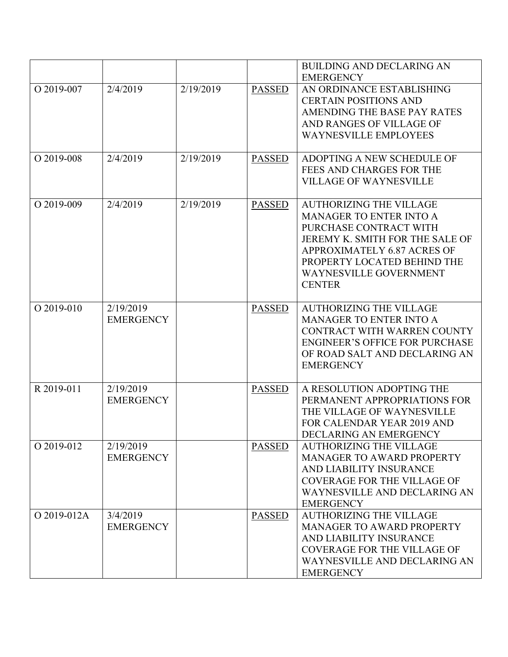|             |                               |           |               | <b>BUILDING AND DECLARING AN</b>                                                                                                                                                                                                       |
|-------------|-------------------------------|-----------|---------------|----------------------------------------------------------------------------------------------------------------------------------------------------------------------------------------------------------------------------------------|
| O 2019-007  | 2/4/2019                      | 2/19/2019 | <b>PASSED</b> | <b>EMERGENCY</b><br>AN ORDINANCE ESTABLISHING<br><b>CERTAIN POSITIONS AND</b><br>AMENDING THE BASE PAY RATES<br>AND RANGES OF VILLAGE OF<br><b>WAYNESVILLE EMPLOYEES</b>                                                               |
| O 2019-008  | 2/4/2019                      | 2/19/2019 | <b>PASSED</b> | ADOPTING A NEW SCHEDULE OF<br>FEES AND CHARGES FOR THE<br><b>VILLAGE OF WAYNESVILLE</b>                                                                                                                                                |
| O 2019-009  | 2/4/2019                      | 2/19/2019 | <b>PASSED</b> | <b>AUTHORIZING THE VILLAGE</b><br><b>MANAGER TO ENTER INTO A</b><br>PURCHASE CONTRACT WITH<br>JEREMY K. SMITH FOR THE SALE OF<br>APPROXIMATELY 6.87 ACRES OF<br>PROPERTY LOCATED BEHIND THE<br>WAYNESVILLE GOVERNMENT<br><b>CENTER</b> |
| O 2019-010  | 2/19/2019<br><b>EMERGENCY</b> |           | <b>PASSED</b> | <b>AUTHORIZING THE VILLAGE</b><br><b>MANAGER TO ENTER INTO A</b><br>CONTRACT WITH WARREN COUNTY<br><b>ENGINEER'S OFFICE FOR PURCHASE</b><br>OF ROAD SALT AND DECLARING AN<br><b>EMERGENCY</b>                                          |
| R 2019-011  | 2/19/2019<br><b>EMERGENCY</b> |           | <b>PASSED</b> | A RESOLUTION ADOPTING THE<br>PERMANENT APPROPRIATIONS FOR<br>THE VILLAGE OF WAYNESVILLE<br>FOR CALENDAR YEAR 2019 AND<br>DECLARING AN EMERGENCY                                                                                        |
| O 2019-012  | 2/19/2019<br><b>EMERGENCY</b> |           | <b>PASSED</b> | <b>AUTHORIZING THE VILLAGE</b><br>MANAGER TO AWARD PROPERTY<br>AND LIABILITY INSURANCE<br><b>COVERAGE FOR THE VILLAGE OF</b><br>WAYNESVILLE AND DECLARING AN<br><b>EMERGENCY</b>                                                       |
| O 2019-012A | 3/4/2019<br><b>EMERGENCY</b>  |           | <b>PASSED</b> | <b>AUTHORIZING THE VILLAGE</b><br><b>MANAGER TO AWARD PROPERTY</b><br>AND LIABILITY INSURANCE<br><b>COVERAGE FOR THE VILLAGE OF</b><br>WAYNESVILLE AND DECLARING AN<br><b>EMERGENCY</b>                                                |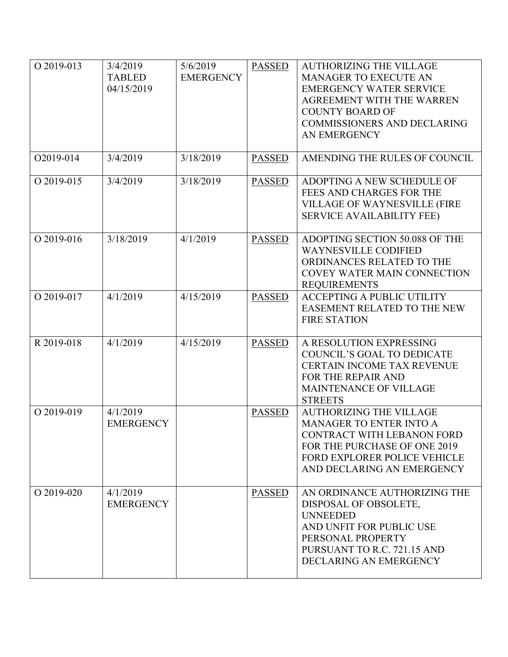| O 2019-013 | 3/4/2019<br><b>TABLED</b><br>04/15/2019 | 5/6/2019<br><b>EMERGENCY</b> | <b>PASSED</b> | <b>AUTHORIZING THE VILLAGE</b><br><b>MANAGER TO EXECUTE AN</b><br><b>EMERGENCY WATER SERVICE</b><br>AGREEMENT WITH THE WARREN<br><b>COUNTY BOARD OF</b><br><b>COMMISSIONERS AND DECLARING</b><br>AN EMERGENCY |
|------------|-----------------------------------------|------------------------------|---------------|---------------------------------------------------------------------------------------------------------------------------------------------------------------------------------------------------------------|
| O2019-014  | 3/4/2019                                | 3/18/2019                    | <b>PASSED</b> | AMENDING THE RULES OF COUNCIL                                                                                                                                                                                 |
| O 2019-015 | 3/4/2019                                | 3/18/2019                    | <b>PASSED</b> | ADOPTING A NEW SCHEDULE OF<br>FEES AND CHARGES FOR THE<br><b>VILLAGE OF WAYNESVILLE (FIRE</b><br><b>SERVICE AVAILABILITY FEE)</b>                                                                             |
| O 2019-016 | 3/18/2019                               | 4/1/2019                     | <b>PASSED</b> | ADOPTING SECTION 50.088 OF THE<br><b>WAYNESVILLE CODIFIED</b><br>ORDINANCES RELATED TO THE<br><b>COVEY WATER MAIN CONNECTION</b><br><b>REQUIREMENTS</b>                                                       |
| O 2019-017 | 4/1/2019                                | 4/15/2019                    | <b>PASSED</b> | <b>ACCEPTING A PUBLIC UTILITY</b><br>EASEMENT RELATED TO THE NEW<br><b>FIRE STATION</b>                                                                                                                       |
| R 2019-018 | 4/1/2019                                | 4/15/2019                    | <b>PASSED</b> | A RESOLUTION EXPRESSING<br>COUNCIL'S GOAL TO DEDICATE<br><b>CERTAIN INCOME TAX REVENUE</b><br>FOR THE REPAIR AND<br><b>MAINTENANCE OF VILLAGE</b><br><b>STREETS</b>                                           |
| O 2019-019 | 4/1/2019<br><b>EMERGENCY</b>            |                              | <b>PASSED</b> | <b>AUTHORIZING THE VILLAGE</b><br><b>MANAGER TO ENTER INTO A</b><br>CONTRACT WITH LEBANON FORD<br>FOR THE PURCHASE OF ONE 2019<br>FORD EXPLORER POLICE VEHICLE<br>AND DECLARING AN EMERGENCY                  |
| O 2019-020 | 4/1/2019<br><b>EMERGENCY</b>            |                              | <b>PASSED</b> | AN ORDINANCE AUTHORIZING THE<br>DISPOSAL OF OBSOLETE,<br><b>UNNEEDED</b><br>AND UNFIT FOR PUBLIC USE<br>PERSONAL PROPERTY<br>PURSUANT TO R.C. 721.15 AND<br>DECLARING AN EMERGENCY                            |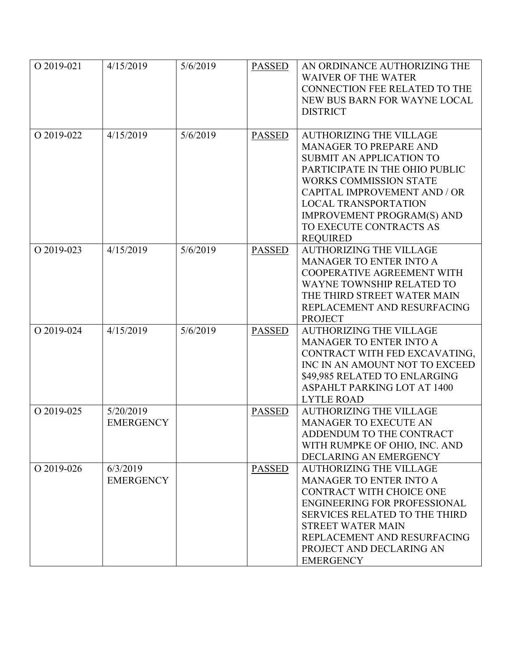| O 2019-021 | 4/15/2019        | 5/6/2019 | <b>PASSED</b> | AN ORDINANCE AUTHORIZING THE                                     |
|------------|------------------|----------|---------------|------------------------------------------------------------------|
|            |                  |          |               | <b>WAIVER OF THE WATER</b>                                       |
|            |                  |          |               | <b>CONNECTION FEE RELATED TO THE</b>                             |
|            |                  |          |               | NEW BUS BARN FOR WAYNE LOCAL                                     |
|            |                  |          |               | <b>DISTRICT</b>                                                  |
|            |                  |          |               |                                                                  |
| O 2019-022 | 4/15/2019        | 5/6/2019 | <b>PASSED</b> | <b>AUTHORIZING THE VILLAGE</b>                                   |
|            |                  |          |               | <b>MANAGER TO PREPARE AND</b>                                    |
|            |                  |          |               | <b>SUBMIT AN APPLICATION TO</b>                                  |
|            |                  |          |               | PARTICIPATE IN THE OHIO PUBLIC                                   |
|            |                  |          |               | <b>WORKS COMMISSION STATE</b>                                    |
|            |                  |          |               | <b>CAPITAL IMPROVEMENT AND / OR</b>                              |
|            |                  |          |               | <b>LOCAL TRANSPORTATION</b>                                      |
|            |                  |          |               | <b>IMPROVEMENT PROGRAM(S) AND</b>                                |
|            |                  |          |               | TO EXECUTE CONTRACTS AS                                          |
|            |                  |          |               | <b>REQUIRED</b>                                                  |
| O 2019-023 | 4/15/2019        | 5/6/2019 | <b>PASSED</b> | <b>AUTHORIZING THE VILLAGE</b>                                   |
|            |                  |          |               | <b>MANAGER TO ENTER INTO A</b>                                   |
|            |                  |          |               | COOPERATIVE AGREEMENT WITH                                       |
|            |                  |          |               | <b>WAYNE TOWNSHIP RELATED TO</b>                                 |
|            |                  |          |               | THE THIRD STREET WATER MAIN                                      |
|            |                  |          |               | REPLACEMENT AND RESURFACING                                      |
|            |                  |          |               | <b>PROJECT</b>                                                   |
| O 2019-024 | 4/15/2019        | 5/6/2019 | <b>PASSED</b> | <b>AUTHORIZING THE VILLAGE</b>                                   |
|            |                  |          |               | <b>MANAGER TO ENTER INTO A</b>                                   |
|            |                  |          |               | CONTRACT WITH FED EXCAVATING,                                    |
|            |                  |          |               | INC IN AN AMOUNT NOT TO EXCEED                                   |
|            |                  |          |               | \$49,985 RELATED TO ENLARGING                                    |
|            |                  |          |               | <b>ASPAHLT PARKING LOT AT 1400</b>                               |
|            |                  |          |               | <b>LYTLE ROAD</b>                                                |
| O 2019-025 | 5/20/2019        |          | <b>PASSED</b> | <b>AUTHORIZING THE VILLAGE</b>                                   |
|            | <b>EMERGENCY</b> |          |               | <b>MANAGER TO EXECUTE AN</b>                                     |
|            |                  |          |               | ADDENDUM TO THE CONTRACT                                         |
|            |                  |          |               | WITH RUMPKE OF OHIO, INC. AND                                    |
|            |                  |          |               | DECLARING AN EMERGENCY                                           |
| O 2019-026 | 6/3/2019         |          | <b>PASSED</b> | <b>AUTHORIZING THE VILLAGE</b>                                   |
|            | <b>EMERGENCY</b> |          |               | <b>MANAGER TO ENTER INTO A</b>                                   |
|            |                  |          |               | <b>CONTRACT WITH CHOICE ONE</b>                                  |
|            |                  |          |               | <b>ENGINEERING FOR PROFESSIONAL</b>                              |
|            |                  |          |               | <b>SERVICES RELATED TO THE THIRD</b><br><b>STREET WATER MAIN</b> |
|            |                  |          |               |                                                                  |
|            |                  |          |               | REPLACEMENT AND RESURFACING<br>PROJECT AND DECLARING AN          |
|            |                  |          |               |                                                                  |
|            |                  |          |               | <b>EMERGENCY</b>                                                 |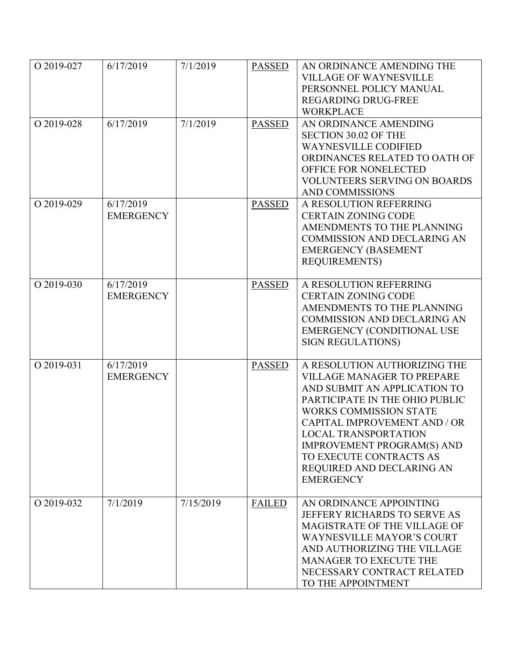| O 2019-027 | 6/17/2019                     | 7/1/2019  | <b>PASSED</b> | AN ORDINANCE AMENDING THE<br><b>VILLAGE OF WAYNESVILLE</b><br>PERSONNEL POLICY MANUAL<br><b>REGARDING DRUG-FREE</b><br><b>WORKPLACE</b>                                                                                                                                                                                                       |
|------------|-------------------------------|-----------|---------------|-----------------------------------------------------------------------------------------------------------------------------------------------------------------------------------------------------------------------------------------------------------------------------------------------------------------------------------------------|
| O 2019-028 | 6/17/2019                     | 7/1/2019  | <b>PASSED</b> | AN ORDINANCE AMENDING<br><b>SECTION 30.02 OF THE</b><br><b>WAYNESVILLE CODIFIED</b><br>ORDINANCES RELATED TO OATH OF<br>OFFICE FOR NONELECTED<br><b>VOLUNTEERS SERVING ON BOARDS</b><br><b>AND COMMISSIONS</b>                                                                                                                                |
| O 2019-029 | 6/17/2019<br><b>EMERGENCY</b> |           | <b>PASSED</b> | A RESOLUTION REFERRING<br><b>CERTAIN ZONING CODE</b><br>AMENDMENTS TO THE PLANNING<br><b>COMMISSION AND DECLARING AN</b><br><b>EMERGENCY (BASEMENT</b><br><b>REQUIREMENTS)</b>                                                                                                                                                                |
| O 2019-030 | 6/17/2019<br><b>EMERGENCY</b> |           | <b>PASSED</b> | A RESOLUTION REFERRING<br><b>CERTAIN ZONING CODE</b><br>AMENDMENTS TO THE PLANNING<br><b>COMMISSION AND DECLARING AN</b><br><b>EMERGENCY (CONDITIONAL USE</b><br><b>SIGN REGULATIONS)</b>                                                                                                                                                     |
| O 2019-031 | 6/17/2019<br><b>EMERGENCY</b> |           | <b>PASSED</b> | A RESOLUTION AUTHORIZING THE<br><b>VILLAGE MANAGER TO PREPARE</b><br>AND SUBMIT AN APPLICATION TO<br>PARTICIPATE IN THE OHIO PUBLIC<br><b>WORKS COMMISSION STATE</b><br>CAPITAL IMPROVEMENT AND / OR<br>LOCAL TRANSPORTATION<br><b>IMPROVEMENT PROGRAM(S) AND</b><br>TO EXECUTE CONTRACTS AS<br>REQUIRED AND DECLARING AN<br><b>EMERGENCY</b> |
| O 2019-032 | 7/1/2019                      | 7/15/2019 | <b>FAILED</b> | AN ORDINANCE APPOINTING<br>JEFFERY RICHARDS TO SERVE AS<br>MAGISTRATE OF THE VILLAGE OF<br><b>WAYNESVILLE MAYOR'S COURT</b><br>AND AUTHORIZING THE VILLAGE<br><b>MANAGER TO EXECUTE THE</b><br>NECESSARY CONTRACT RELATED<br>TO THE APPOINTMENT                                                                                               |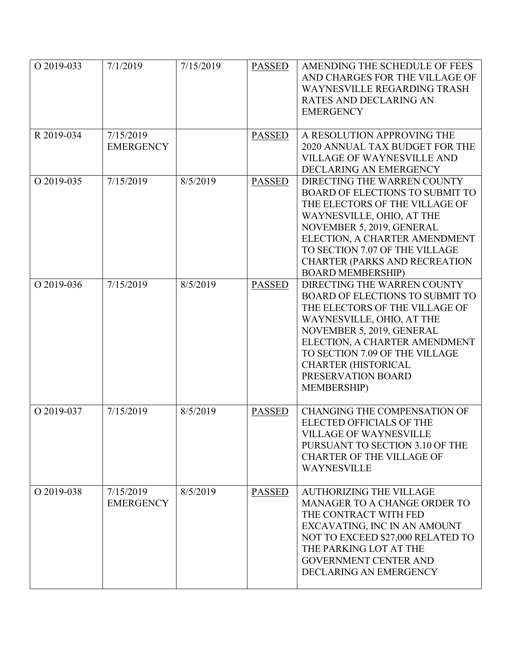| O 2019-033 | 7/1/2019                      | 7/15/2019 | <b>PASSED</b> | AMENDING THE SCHEDULE OF FEES<br>AND CHARGES FOR THE VILLAGE OF<br><b>WAYNESVILLE REGARDING TRASH</b><br><b>RATES AND DECLARING AN</b><br><b>EMERGENCY</b>                                                                                                                                                      |
|------------|-------------------------------|-----------|---------------|-----------------------------------------------------------------------------------------------------------------------------------------------------------------------------------------------------------------------------------------------------------------------------------------------------------------|
| R 2019-034 | 7/15/2019<br><b>EMERGENCY</b> |           | <b>PASSED</b> | A RESOLUTION APPROVING THE<br>2020 ANNUAL TAX BUDGET FOR THE<br><b>VILLAGE OF WAYNESVILLE AND</b><br>DECLARING AN EMERGENCY                                                                                                                                                                                     |
| O 2019-035 | 7/15/2019                     | 8/5/2019  | <b>PASSED</b> | DIRECTING THE WARREN COUNTY<br><b>BOARD OF ELECTIONS TO SUBMIT TO</b><br>THE ELECTORS OF THE VILLAGE OF<br>WAYNESVILLE, OHIO, AT THE<br>NOVEMBER 5, 2019, GENERAL<br>ELECTION, A CHARTER AMENDMENT<br>TO SECTION 7.07 OF THE VILLAGE<br><b>CHARTER (PARKS AND RECREATION</b><br><b>BOARD MEMBERSHIP)</b>        |
| O 2019-036 | 7/15/2019                     | 8/5/2019  | <b>PASSED</b> | DIRECTING THE WARREN COUNTY<br><b>BOARD OF ELECTIONS TO SUBMIT TO</b><br>THE ELECTORS OF THE VILLAGE OF<br>WAYNESVILLE, OHIO, AT THE<br>NOVEMBER 5, 2019, GENERAL<br>ELECTION, A CHARTER AMENDMENT<br>TO SECTION 7.09 OF THE VILLAGE<br><b>CHARTER (HISTORICAL</b><br>PRESERVATION BOARD<br><b>MEMBERSHIP</b> ) |
| O 2019-037 | 7/15/2019                     | 8/5/2019  | <b>PASSED</b> | <b>CHANGING THE COMPENSATION OF</b><br><b>ELECTED OFFICIALS OF THE</b><br><b>VILLAGE OF WAYNESVILLE</b><br>PURSUANT TO SECTION 3.10 OF THE<br><b>CHARTER OF THE VILLAGE OF</b><br><b>WAYNESVILLE</b>                                                                                                            |
| O 2019-038 | 7/15/2019<br><b>EMERGENCY</b> | 8/5/2019  | <b>PASSED</b> | <b>AUTHORIZING THE VILLAGE</b><br>MANAGER TO A CHANGE ORDER TO<br>THE CONTRACT WITH FED<br>EXCAVATING, INC IN AN AMOUNT<br>NOT TO EXCEED \$27,000 RELATED TO<br>THE PARKING LOT AT THE<br><b>GOVERNMENT CENTER AND</b><br>DECLARING AN EMERGENCY                                                                |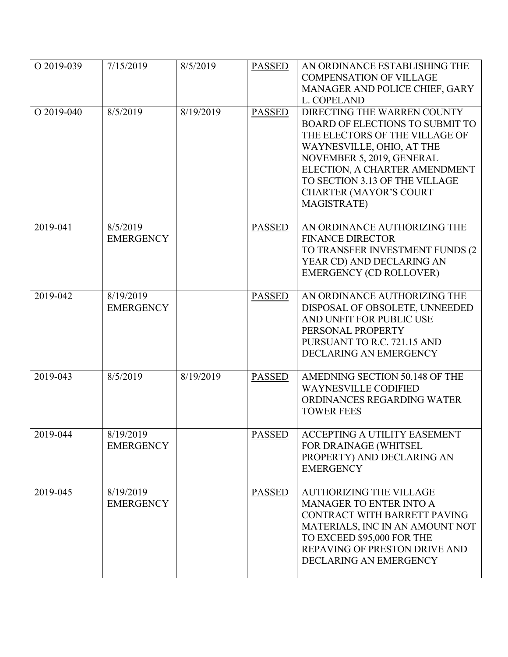| O 2019-039 | 7/15/2019                     | 8/5/2019  | <b>PASSED</b> | AN ORDINANCE ESTABLISHING THE<br><b>COMPENSATION OF VILLAGE</b><br>MANAGER AND POLICE CHIEF, GARY<br>L. COPELAND                                                                                                                                                                            |
|------------|-------------------------------|-----------|---------------|---------------------------------------------------------------------------------------------------------------------------------------------------------------------------------------------------------------------------------------------------------------------------------------------|
| O 2019-040 | 8/5/2019                      | 8/19/2019 | <b>PASSED</b> | DIRECTING THE WARREN COUNTY<br><b>BOARD OF ELECTIONS TO SUBMIT TO</b><br>THE ELECTORS OF THE VILLAGE OF<br>WAYNESVILLE, OHIO, AT THE<br>NOVEMBER 5, 2019, GENERAL<br>ELECTION, A CHARTER AMENDMENT<br>TO SECTION 3.13 OF THE VILLAGE<br><b>CHARTER (MAYOR'S COURT</b><br><b>MAGISTRATE)</b> |
| 2019-041   | 8/5/2019<br><b>EMERGENCY</b>  |           | <b>PASSED</b> | AN ORDINANCE AUTHORIZING THE<br><b>FINANCE DIRECTOR</b><br>TO TRANSFER INVESTMENT FUNDS (2<br>YEAR CD) AND DECLARING AN<br><b>EMERGENCY (CD ROLLOVER)</b>                                                                                                                                   |
| 2019-042   | 8/19/2019<br><b>EMERGENCY</b> |           | <b>PASSED</b> | AN ORDINANCE AUTHORIZING THE<br>DISPOSAL OF OBSOLETE, UNNEEDED<br>AND UNFIT FOR PUBLIC USE<br>PERSONAL PROPERTY<br>PURSUANT TO R.C. 721.15 AND<br><b>DECLARING AN EMERGENCY</b>                                                                                                             |
| 2019-043   | 8/5/2019                      | 8/19/2019 | <b>PASSED</b> | AMEDNING SECTION 50.148 OF THE<br><b>WAYNESVILLE CODIFIED</b><br>ORDINANCES REGARDING WATER<br><b>TOWER FEES</b>                                                                                                                                                                            |
| 2019-044   | 8/19/2019<br><b>EMERGENCY</b> |           | <b>PASSED</b> | <b>ACCEPTING A UTILITY EASEMENT</b><br>FOR DRAINAGE (WHITSEL<br>PROPERTY) AND DECLARING AN<br><b>EMERGENCY</b>                                                                                                                                                                              |
| 2019-045   | 8/19/2019<br><b>EMERGENCY</b> |           | <b>PASSED</b> | <b>AUTHORIZING THE VILLAGE</b><br><b>MANAGER TO ENTER INTO A</b><br>CONTRACT WITH BARRETT PAVING<br>MATERIALS, INC IN AN AMOUNT NOT<br>TO EXCEED \$95,000 FOR THE<br>REPAVING OF PRESTON DRIVE AND<br>DECLARING AN EMERGENCY                                                                |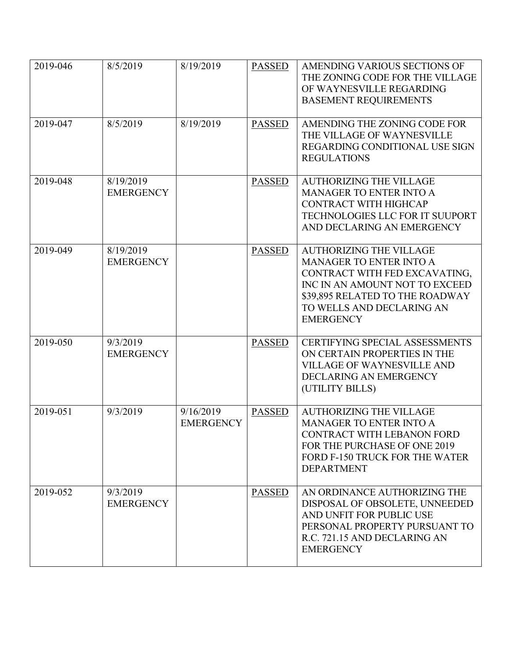| 2019-046 | 8/5/2019                      | 8/19/2019                     | <b>PASSED</b> | AMENDING VARIOUS SECTIONS OF<br>THE ZONING CODE FOR THE VILLAGE<br>OF WAYNESVILLE REGARDING<br><b>BASEMENT REQUIREMENTS</b>                                                                                             |
|----------|-------------------------------|-------------------------------|---------------|-------------------------------------------------------------------------------------------------------------------------------------------------------------------------------------------------------------------------|
| 2019-047 | 8/5/2019                      | 8/19/2019                     | <b>PASSED</b> | AMENDING THE ZONING CODE FOR<br>THE VILLAGE OF WAYNESVILLE<br>REGARDING CONDITIONAL USE SIGN<br><b>REGULATIONS</b>                                                                                                      |
| 2019-048 | 8/19/2019<br><b>EMERGENCY</b> |                               | <b>PASSED</b> | <b>AUTHORIZING THE VILLAGE</b><br><b>MANAGER TO ENTER INTO A</b><br>CONTRACT WITH HIGHCAP<br>TECHNOLOGIES LLC FOR IT SUUPORT<br>AND DECLARING AN EMERGENCY                                                              |
| 2019-049 | 8/19/2019<br><b>EMERGENCY</b> |                               | <b>PASSED</b> | <b>AUTHORIZING THE VILLAGE</b><br><b>MANAGER TO ENTER INTO A</b><br>CONTRACT WITH FED EXCAVATING,<br>INC IN AN AMOUNT NOT TO EXCEED<br>\$39,895 RELATED TO THE ROADWAY<br>TO WELLS AND DECLARING AN<br><b>EMERGENCY</b> |
| 2019-050 | 9/3/2019<br><b>EMERGENCY</b>  |                               | <b>PASSED</b> | <b>CERTIFYING SPECIAL ASSESSMENTS</b><br>ON CERTAIN PROPERTIES IN THE<br><b>VILLAGE OF WAYNESVILLE AND</b><br>DECLARING AN EMERGENCY<br>(UTILITY BILLS)                                                                 |
| 2019-051 | 9/3/2019                      | 9/16/2019<br><b>EMERGENCY</b> | <b>PASSED</b> | <b>AUTHORIZING THE VILLAGE</b><br><b>MANAGER TO ENTER INTO A</b><br>CONTRACT WITH LEBANON FORD<br>FOR THE PURCHASE OF ONE 2019<br>FORD F-150 TRUCK FOR THE WATER<br><b>DEPARTMENT</b>                                   |
| 2019-052 | 9/3/2019<br><b>EMERGENCY</b>  |                               | <b>PASSED</b> | AN ORDINANCE AUTHORIZING THE<br>DISPOSAL OF OBSOLETE, UNNEEDED<br>AND UNFIT FOR PUBLIC USE<br>PERSONAL PROPERTY PURSUANT TO<br>R.C. 721.15 AND DECLARING AN<br><b>EMERGENCY</b>                                         |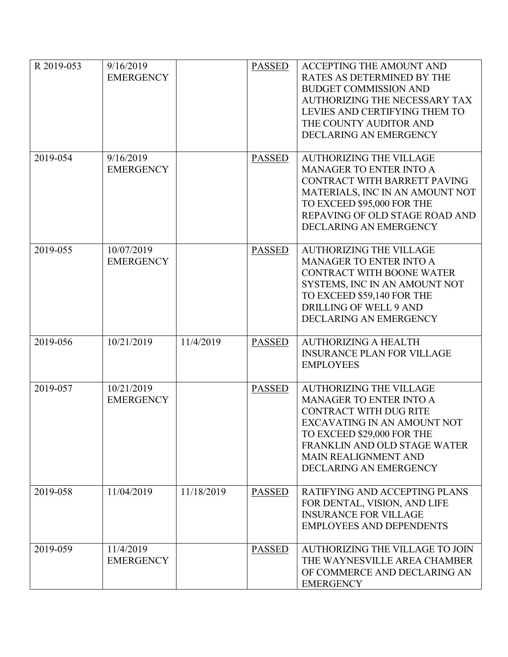| R 2019-053 | 9/16/2019<br><b>EMERGENCY</b>  |            | <b>PASSED</b> | <b>ACCEPTING THE AMOUNT AND</b><br>RATES AS DETERMINED BY THE<br><b>BUDGET COMMISSION AND</b><br>AUTHORIZING THE NECESSARY TAX<br>LEVIES AND CERTIFYING THEM TO<br>THE COUNTY AUDITOR AND<br>DECLARING AN EMERGENCY                                     |
|------------|--------------------------------|------------|---------------|---------------------------------------------------------------------------------------------------------------------------------------------------------------------------------------------------------------------------------------------------------|
| 2019-054   | 9/16/2019<br><b>EMERGENCY</b>  |            | <b>PASSED</b> | <b>AUTHORIZING THE VILLAGE</b><br><b>MANAGER TO ENTER INTO A</b><br>CONTRACT WITH BARRETT PAVING<br>MATERIALS, INC IN AN AMOUNT NOT<br>TO EXCEED \$95,000 FOR THE<br>REPAVING OF OLD STAGE ROAD AND<br>DECLARING AN EMERGENCY                           |
| 2019-055   | 10/07/2019<br><b>EMERGENCY</b> |            | <b>PASSED</b> | <b>AUTHORIZING THE VILLAGE</b><br>MANAGER TO ENTER INTO A<br><b>CONTRACT WITH BOONE WATER</b><br>SYSTEMS, INC IN AN AMOUNT NOT<br>TO EXCEED \$59,140 FOR THE<br>DRILLING OF WELL 9 AND<br>DECLARING AN EMERGENCY                                        |
| 2019-056   | 10/21/2019                     | 11/4/2019  | <b>PASSED</b> | <b>AUTHORIZING A HEALTH</b><br><b>INSURANCE PLAN FOR VILLAGE</b><br><b>EMPLOYEES</b>                                                                                                                                                                    |
| 2019-057   | 10/21/2019<br><b>EMERGENCY</b> |            | <b>PASSED</b> | <b>AUTHORIZING THE VILLAGE</b><br><b>MANAGER TO ENTER INTO A</b><br><b>CONTRACT WITH DUG RITE</b><br>EXCAVATING IN AN AMOUNT NOT<br>TO EXCEED \$29,000 FOR THE<br>FRANKLIN AND OLD STAGE WATER<br><b>MAIN REALIGNMENT AND</b><br>DECLARING AN EMERGENCY |
| 2019-058   | 11/04/2019                     | 11/18/2019 | <b>PASSED</b> | RATIFYING AND ACCEPTING PLANS<br>FOR DENTAL, VISION, AND LIFE<br><b>INSURANCE FOR VILLAGE</b><br><b>EMPLOYEES AND DEPENDENTS</b>                                                                                                                        |
| 2019-059   | 11/4/2019<br><b>EMERGENCY</b>  |            | <b>PASSED</b> | AUTHORIZING THE VILLAGE TO JOIN<br>THE WAYNESVILLE AREA CHAMBER<br>OF COMMERCE AND DECLARING AN<br><b>EMERGENCY</b>                                                                                                                                     |